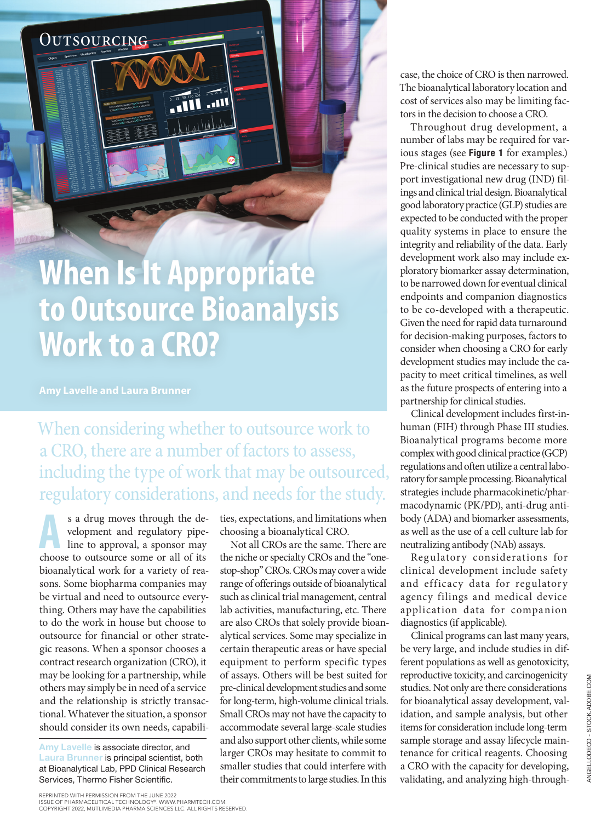

## **When Is It Appropriate to Outsource Bioanalysis Work to a CRO?**

**Amy Lavelle and Laura Brunner**

When considering whether to outsource work to a CRO, there are a number of factors to assess, including the type of work that may be outsourced, regulatory considerations, and needs for the study.

**A s** a drug moves through the development and regulatory pipeline to approval, a sponsor may choose to outsource some or all of its s a drug moves through the development and regulatory pipeline to approval, a sponsor may bioanalytical work for a variety of reasons. Some biopharma companies may be virtual and need to outsource everything. Others may have the capabilities to do the work in house but choose to outsource for financial or other strategic reasons. When a sponsor chooses a contract research organization (CRO), it may be looking for a partnership, while others may simply be in need of a service and the relationship is strictly transactional. Whatever the situation, a sponsor should consider its own needs, capabili-

Amy Lavelle is associate director, and Laura Brunner is principal scientist, both at Bioanalytical Lab, PPD Clinical Research Services, Thermo Fisher Scientific.

ties, expectations, and limitations when choosing a bioanalytical CRO.

Not all CROs are the same. There are the niche or specialty CROs and the "onestop-shop" CROs. CROs may cover a wide range of offerings outside of bioanalytical such as clinical trial management, central lab activities, manufacturing, etc. There are also CROs that solely provide bioanalytical services. Some may specialize in certain therapeutic areas or have special equipment to perform specific types of assays. Others will be best suited for pre-clinical development studies and some for long-term, high-volume clinical trials. Small CROs may not have the capacity to accommodate several large-scale studies and also support other clients, while some larger CROs may hesitate to commit to smaller studies that could interfere with their commitments to large studies. In this

case, the choice of CRO is then narrowed. The bioanalytical laboratory location and cost of services also may be limiting factors in the decision to choose a CRO.

Throughout drug development, a number of labs may be required for various stages (see Figure 1 for examples.) Pre-clinical studies are necessary to support investigational new drug (IND) filings and clinical trial design. Bioanalytical good laboratory practice (GLP) studies are expected to be conducted with the proper quality systems in place to ensure the integrity and reliability of the data. Early development work also may include exploratory biomarker assay determination, to be narrowed down for eventual clinical endpoints and companion diagnostics to be co-developed with a therapeutic. Given the need for rapid data turnaround for decision-making purposes, factors to consider when choosing a CRO for early development studies may include the capacity to meet critical timelines, as well as the future prospects of entering into a partnership for clinical studies.

Clinical development includes first-inhuman (FIH) through Phase III studies. Bioanalytical programs become more complex with good clinical practice (GCP) regulations and often utilize a central laboratory for sample processing. Bioanalytical strategies include pharmacokinetic/pharmacodynamic (PK/PD), anti-drug antibody (ADA) and biomarker assessments, as well as the use of a cell culture lab for neutralizing antibody (NAb) assays.

Regulatory considerations for clinical development include safety and efficacy data for regulatory agency filings and medical device application data for companion diagnostics (if applicable).

Clinical programs can last many years, be very large, and include studies in different populations as well as genotoxicity, reproductive toxicity, and carcinogenicity studies. Not only are there considerations for bioanalytical assay development, validation, and sample analysis, but other items for consideration include long-term sample storage and assay lifecycle maintenance for critical reagents. Choosing a CRO with the capacity for developing, validating, and analyzing high-through-

REPRINTED WITH PERMISSION FROM THE JUNE 2022<br>ISSUE OF PHARMACEUTICAL TECHNOLOGY®. WWW.PHARMTECH.COM.<br>COPYRIGHT 2022, MUTLIMEDIA PHARMA SCIENCES LLC. ALL RIGHTS RESERVED.